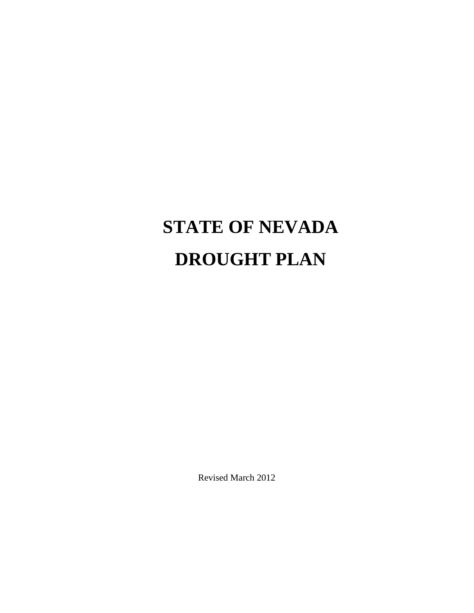# **STATE OF NEVADA DROUGHT PLAN**

Revised March 2012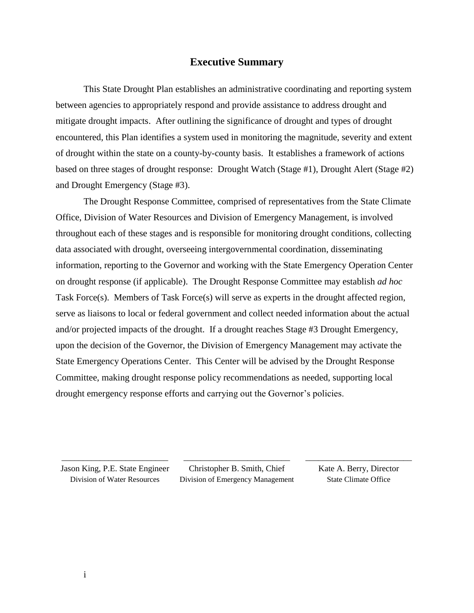#### **Executive Summary**

This State Drought Plan establishes an administrative coordinating and reporting system between agencies to appropriately respond and provide assistance to address drought and mitigate drought impacts. After outlining the significance of drought and types of drought encountered, this Plan identifies a system used in monitoring the magnitude, severity and extent of drought within the state on a county-by-county basis. It establishes a framework of actions based on three stages of drought response: Drought Watch (Stage #1), Drought Alert (Stage #2) and Drought Emergency (Stage #3).

The Drought Response Committee, comprised of representatives from the State Climate Office, Division of Water Resources and Division of Emergency Management, is involved throughout each of these stages and is responsible for monitoring drought conditions, collecting data associated with drought, overseeing intergovernmental coordination, disseminating information, reporting to the Governor and working with the State Emergency Operation Center on drought response (if applicable). The Drought Response Committee may establish *ad hoc* Task Force(s). Members of Task Force(s) will serve as experts in the drought affected region, serve as liaisons to local or federal government and collect needed information about the actual and/or projected impacts of the drought. If a drought reaches Stage #3 Drought Emergency, upon the decision of the Governor, the Division of Emergency Management may activate the State Emergency Operations Center. This Center will be advised by the Drought Response Committee, making drought response policy recommendations as needed, supporting local drought emergency response efforts and carrying out the Governor's policies.

Jason King, P.E. State Engineer Division of Water Resources

\_\_\_\_\_\_\_\_\_\_\_\_\_\_\_\_\_\_\_\_\_\_\_\_\_

Christopher B. Smith, Chief Division of Emergency Management

\_\_\_\_\_\_\_\_\_\_\_\_\_\_\_\_\_\_\_\_\_\_\_\_\_

Kate A. Berry, Director State Climate Office

\_\_\_\_\_\_\_\_\_\_\_\_\_\_\_\_\_\_\_\_\_\_\_\_\_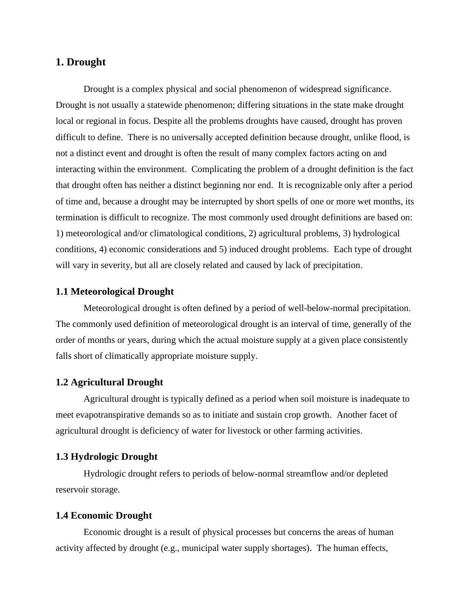## **1. Drought**

Drought is a complex physical and social phenomenon of widespread significance. Drought is not usually a statewide phenomenon; differing situations in the state make drought local or regional in focus. Despite all the problems droughts have caused, drought has proven difficult to define. There is no universally accepted definition because drought, unlike flood, is not a distinct event and drought is often the result of many complex factors acting on and interacting within the environment. Complicating the problem of a drought definition is the fact that drought often has neither a distinct beginning nor end. It is recognizable only after a period of time and, because a drought may be interrupted by short spells of one or more wet months, its termination is difficult to recognize. The most commonly used drought definitions are based on: 1) meteorological and/or climatological conditions, 2) agricultural problems, 3) hydrological conditions, 4) economic considerations and 5) induced drought problems. Each type of drought will vary in severity, but all are closely related and caused by lack of precipitation.

#### **1.1 Meteorological Drought**

Meteorological drought is often defined by a period of well-below-normal precipitation. The commonly used definition of meteorological drought is an interval of time, generally of the order of months or years, during which the actual moisture supply at a given place consistently falls short of climatically appropriate moisture supply.

#### **1.2 Agricultural Drought**

Agricultural drought is typically defined as a period when soil moisture is inadequate to meet evapotranspirative demands so as to initiate and sustain crop growth. Another facet of agricultural drought is deficiency of water for livestock or other farming activities.

### **1.3 Hydrologic Drought**

Hydrologic drought refers to periods of below-normal streamflow and/or depleted reservoir storage.

#### **1.4 Economic Drought**

Economic drought is a result of physical processes but concerns the areas of human activity affected by drought (e.g., municipal water supply shortages). The human effects,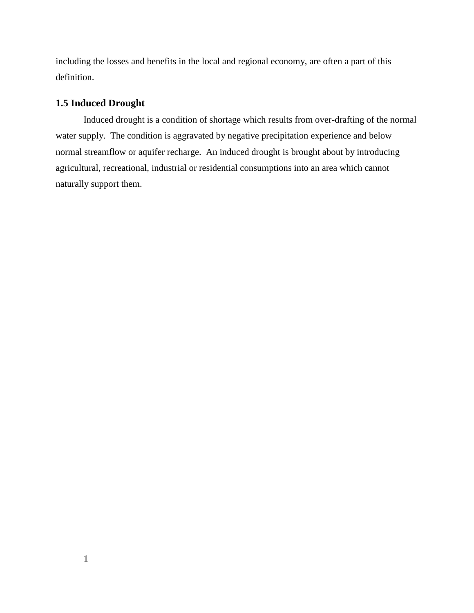including the losses and benefits in the local and regional economy, are often a part of this definition.

## **1.5 Induced Drought**

Induced drought is a condition of shortage which results from over-drafting of the normal water supply. The condition is aggravated by negative precipitation experience and below normal streamflow or aquifer recharge. An induced drought is brought about by introducing agricultural, recreational, industrial or residential consumptions into an area which cannot naturally support them.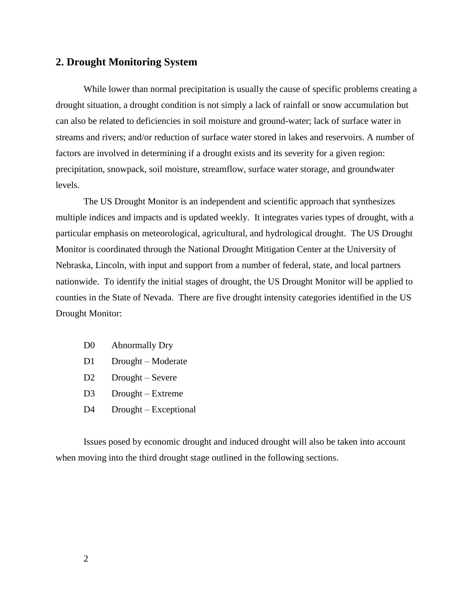## **2. Drought Monitoring System**

While lower than normal precipitation is usually the cause of specific problems creating a drought situation, a drought condition is not simply a lack of rainfall or snow accumulation but can also be related to deficiencies in soil moisture and ground-water; lack of surface water in streams and rivers; and/or reduction of surface water stored in lakes and reservoirs. A number of factors are involved in determining if a drought exists and its severity for a given region: precipitation, snowpack, soil moisture, streamflow, surface water storage, and groundwater levels.

The US Drought Monitor is an independent and scientific approach that synthesizes multiple indices and impacts and is updated weekly. It integrates varies types of drought, with a particular emphasis on meteorological, agricultural, and hydrological drought. The US Drought Monitor is coordinated through the National Drought Mitigation Center at the University of Nebraska, Lincoln, with input and support from a number of federal, state, and local partners nationwide. To identify the initial stages of drought, the US Drought Monitor will be applied to counties in the State of Nevada. There are five drought intensity categories identified in the US Drought Monitor:

- D0 Abnormally Dry
- D1 Drought Moderate
- D<sub>2</sub> Drought Severe
- D<sub>3</sub> Drought Extreme
- D<sub>4</sub> Drought Exceptional

Issues posed by economic drought and induced drought will also be taken into account when moving into the third drought stage outlined in the following sections.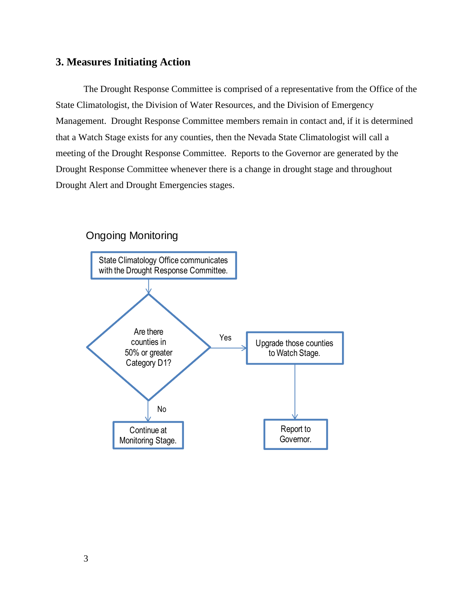## **3. Measures Initiating Action**

The Drought Response Committee is comprised of a representative from the Office of the State Climatologist, the Division of Water Resources, and the Division of Emergency Management. Drought Response Committee members remain in contact and, if it is determined that a Watch Stage exists for any counties, then the Nevada State Climatologist will call a meeting of the Drought Response Committee. Reports to the Governor are generated by the Drought Response Committee whenever there is a change in drought stage and throughout Drought Alert and Drought Emergencies stages.



## Ongoing Monitoring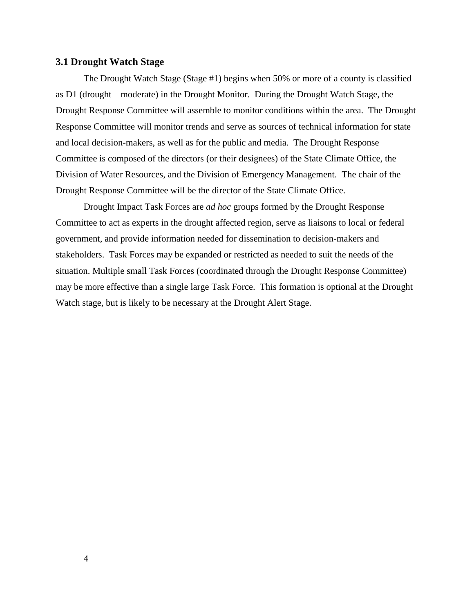#### **3.1 Drought Watch Stage**

The Drought Watch Stage (Stage #1) begins when 50% or more of a county is classified as D1 (drought – moderate) in the Drought Monitor. During the Drought Watch Stage, the Drought Response Committee will assemble to monitor conditions within the area. The Drought Response Committee will monitor trends and serve as sources of technical information for state and local decision-makers, as well as for the public and media. The Drought Response Committee is composed of the directors (or their designees) of the State Climate Office, the Division of Water Resources, and the Division of Emergency Management. The chair of the Drought Response Committee will be the director of the State Climate Office.

Drought Impact Task Forces are *ad hoc* groups formed by the Drought Response Committee to act as experts in the drought affected region, serve as liaisons to local or federal government, and provide information needed for dissemination to decision-makers and stakeholders. Task Forces may be expanded or restricted as needed to suit the needs of the situation. Multiple small Task Forces (coordinated through the Drought Response Committee) may be more effective than a single large Task Force. This formation is optional at the Drought Watch stage, but is likely to be necessary at the Drought Alert Stage.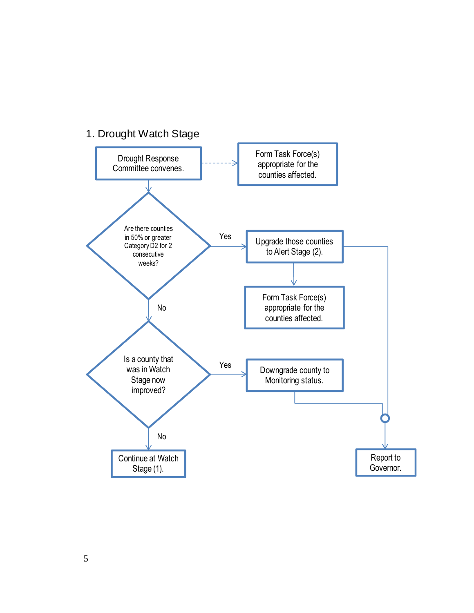

# 1. Drought Watch Stage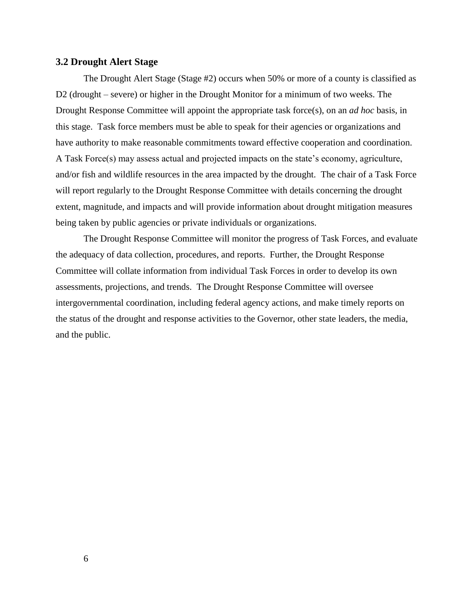#### **3.2 Drought Alert Stage**

The Drought Alert Stage (Stage #2) occurs when 50% or more of a county is classified as D2 (drought – severe) or higher in the Drought Monitor for a minimum of two weeks. The Drought Response Committee will appoint the appropriate task force(s), on an *ad hoc* basis, in this stage. Task force members must be able to speak for their agencies or organizations and have authority to make reasonable commitments toward effective cooperation and coordination. A Task Force(s) may assess actual and projected impacts on the state's economy, agriculture, and/or fish and wildlife resources in the area impacted by the drought. The chair of a Task Force will report regularly to the Drought Response Committee with details concerning the drought extent, magnitude, and impacts and will provide information about drought mitigation measures being taken by public agencies or private individuals or organizations.

The Drought Response Committee will monitor the progress of Task Forces, and evaluate the adequacy of data collection, procedures, and reports. Further, the Drought Response Committee will collate information from individual Task Forces in order to develop its own assessments, projections, and trends. The Drought Response Committee will oversee intergovernmental coordination, including federal agency actions, and make timely reports on the status of the drought and response activities to the Governor, other state leaders, the media, and the public.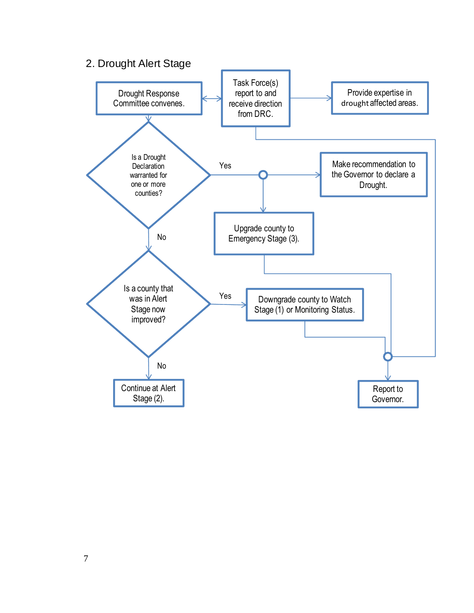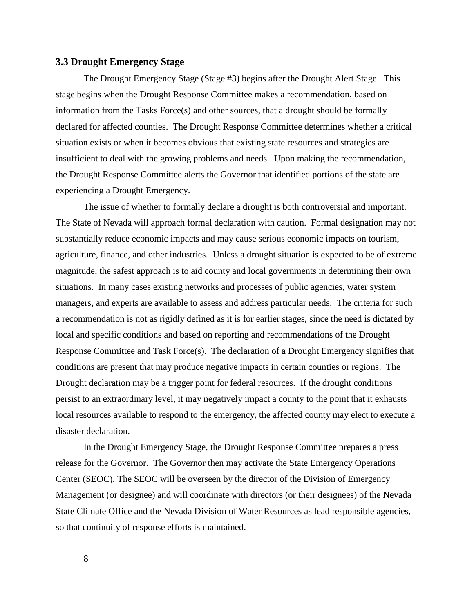#### **3.3 Drought Emergency Stage**

The Drought Emergency Stage (Stage #3) begins after the Drought Alert Stage. This stage begins when the Drought Response Committee makes a recommendation, based on information from the Tasks Force(s) and other sources, that a drought should be formally declared for affected counties. The Drought Response Committee determines whether a critical situation exists or when it becomes obvious that existing state resources and strategies are insufficient to deal with the growing problems and needs. Upon making the recommendation, the Drought Response Committee alerts the Governor that identified portions of the state are experiencing a Drought Emergency.

The issue of whether to formally declare a drought is both controversial and important. The State of Nevada will approach formal declaration with caution. Formal designation may not substantially reduce economic impacts and may cause serious economic impacts on tourism, agriculture, finance, and other industries. Unless a drought situation is expected to be of extreme magnitude, the safest approach is to aid county and local governments in determining their own situations. In many cases existing networks and processes of public agencies, water system managers, and experts are available to assess and address particular needs. The criteria for such a recommendation is not as rigidly defined as it is for earlier stages, since the need is dictated by local and specific conditions and based on reporting and recommendations of the Drought Response Committee and Task Force(s). The declaration of a Drought Emergency signifies that conditions are present that may produce negative impacts in certain counties or regions. The Drought declaration may be a trigger point for federal resources. If the drought conditions persist to an extraordinary level, it may negatively impact a county to the point that it exhausts local resources available to respond to the emergency, the affected county may elect to execute a disaster declaration.

In the Drought Emergency Stage, the Drought Response Committee prepares a press release for the Governor. The Governor then may activate the State Emergency Operations Center (SEOC). The SEOC will be overseen by the director of the Division of Emergency Management (or designee) and will coordinate with directors (or their designees) of the Nevada State Climate Office and the Nevada Division of Water Resources as lead responsible agencies, so that continuity of response efforts is maintained.

8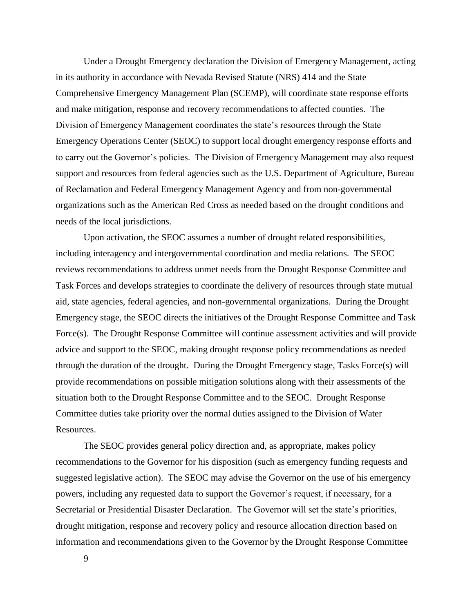Under a Drought Emergency declaration the Division of Emergency Management, acting in its authority in accordance with Nevada Revised Statute (NRS) 414 and the State Comprehensive Emergency Management Plan (SCEMP), will coordinate state response efforts and make mitigation, response and recovery recommendations to affected counties. The Division of Emergency Management coordinates the state's resources through the State Emergency Operations Center (SEOC) to support local drought emergency response efforts and to carry out the Governor's policies. The Division of Emergency Management may also request support and resources from federal agencies such as the U.S. Department of Agriculture, Bureau of Reclamation and Federal Emergency Management Agency and from non-governmental organizations such as the American Red Cross as needed based on the drought conditions and needs of the local jurisdictions.

Upon activation, the SEOC assumes a number of drought related responsibilities, including interagency and intergovernmental coordination and media relations. The SEOC reviews recommendations to address unmet needs from the Drought Response Committee and Task Forces and develops strategies to coordinate the delivery of resources through state mutual aid, state agencies, federal agencies, and non-governmental organizations. During the Drought Emergency stage, the SEOC directs the initiatives of the Drought Response Committee and Task Force(s). The Drought Response Committee will continue assessment activities and will provide advice and support to the SEOC, making drought response policy recommendations as needed through the duration of the drought. During the Drought Emergency stage, Tasks Force(s) will provide recommendations on possible mitigation solutions along with their assessments of the situation both to the Drought Response Committee and to the SEOC. Drought Response Committee duties take priority over the normal duties assigned to the Division of Water Resources.

The SEOC provides general policy direction and, as appropriate, makes policy recommendations to the Governor for his disposition (such as emergency funding requests and suggested legislative action). The SEOC may advise the Governor on the use of his emergency powers, including any requested data to support the Governor's request, if necessary, for a Secretarial or Presidential Disaster Declaration. The Governor will set the state's priorities, drought mitigation, response and recovery policy and resource allocation direction based on information and recommendations given to the Governor by the Drought Response Committee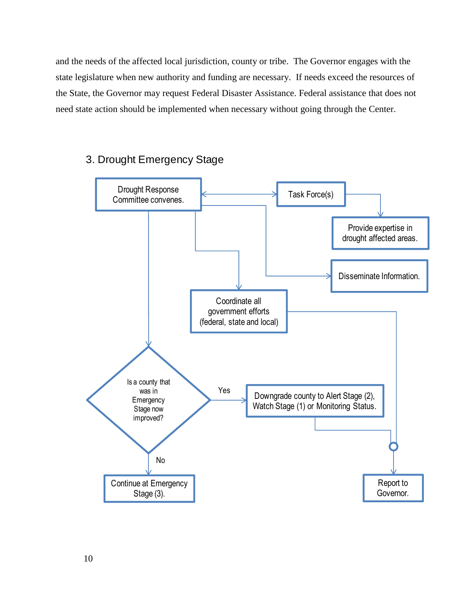and the needs of the affected local jurisdiction, county or tribe. The Governor engages with the state legislature when new authority and funding are necessary. If needs exceed the resources of the State, the Governor may request Federal Disaster Assistance. Federal assistance that does not need state action should be implemented when necessary without going through the Center.

## 3. Drought Emergency Stage